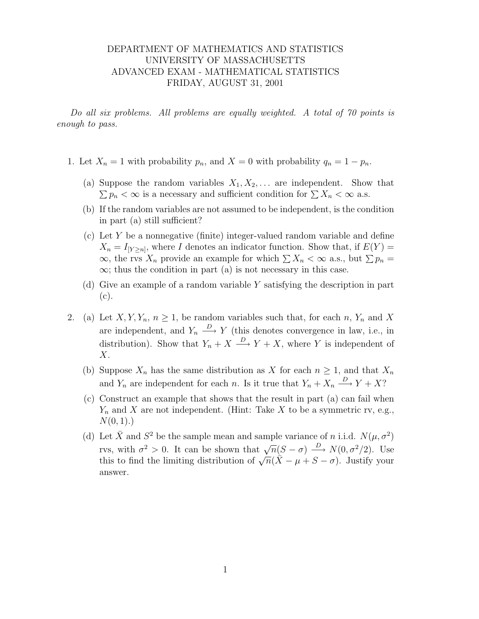## DEPARTMENT OF MATHEMATICS AND STATISTICS UNIVERSITY OF MASSACHUSETTS ADVANCED EXAM - MATHEMATICAL STATISTICS FRIDAY, AUGUST 31, 2001

Do all six problems. All problems are equally weighted. A total of 70 points is enough to pass.

- 1. Let  $X_n = 1$  with probability  $p_n$ , and  $X = 0$  with probability  $q_n = 1 p_n$ .
	- (a) Suppose the random variables  $X_1, X_2, \ldots$  are independent. Show that  $\sum p_n < \infty$  is a necessary and sufficient condition for  $\sum X_n < \infty$  a.s.
	- (b) If the random variables are not assumed to be independent, is the condition in part (a) still sufficient?
	- (c) Let Y be a nonnegative (finite) integer-valued random variable and define  $X_n = I_{[Y \geq n]}$ , where I denotes an indicator function. Show that, if  $E(Y) =$  $\infty$ , the rvs  $X_n$  provide an example for which  $\sum X_n < \infty$  a.s., but  $\sum p_n =$  $\infty$ ; thus the condition in part (a) is not necessary in this case.
	- (d) Give an example of a random variable Y satisfying the description in part (c).
- 2. (a) Let  $X, Y, Y_n, n \geq 1$ , be random variables such that, for each n,  $Y_n$  and X are independent, and  $Y_n \stackrel{D}{\longrightarrow} Y$  (this denotes convergence in law, i.e., in distribution). Show that  $Y_n + X \stackrel{D}{\longrightarrow} Y + X$ , where Y is independent of  $X$ .
	- (b) Suppose  $X_n$  has the same distribution as X for each  $n \geq 1$ , and that  $X_n$ and  $Y_n$  are independent for each n. Is it true that  $Y_n + X_n \xrightarrow{D} Y + X$ ?
	- (c) Construct an example that shows that the result in part (a) can fail when  $Y_n$  and X are not independent. (Hint: Take X to be a symmetric rv, e.g.,  $N(0, 1)$ .)
	- (d) Let  $\bar{X}$  and  $S^2$  be the sample mean and sample variance of n i.i.d.  $N(\mu, \sigma^2)$ For r and s so the sample mean and sample variance of n m.a.  $P(\mu, \sigma)$ <br>rvs, with  $\sigma^2 > 0$ . It can be shown that  $\sqrt{n}(S - \sigma) \xrightarrow{D} N(0, \sigma^2/2)$ . Use this to find the limiting distribution of  $\sqrt{n}(\bar{X} - \mu + S - \sigma)$ . Justify your answer.